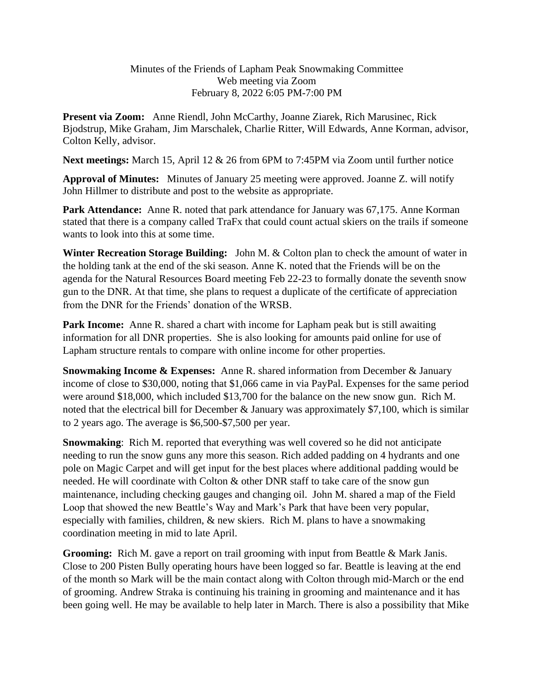## Minutes of the Friends of Lapham Peak Snowmaking Committee Web meeting via Zoom February 8, 2022 6:05 PM-7:00 PM

**Present via Zoom:** Anne Riendl, John McCarthy, Joanne Ziarek, Rich Marusinec, Rick Bjodstrup, Mike Graham, Jim Marschalek, Charlie Ritter, Will Edwards, Anne Korman, advisor, Colton Kelly, advisor.

**Next meetings:** March 15, April 12 & 26 from 6PM to 7:45PM via Zoom until further notice

**Approval of Minutes:** Minutes of January 25 meeting were approved. Joanne Z. will notify John Hillmer to distribute and post to the website as appropriate.

Park Attendance: Anne R. noted that park attendance for January was 67,175. Anne Korman stated that there is a company called TraFx that could count actual skiers on the trails if someone wants to look into this at some time.

**Winter Recreation Storage Building:** John M. & Colton plan to check the amount of water in the holding tank at the end of the ski season. Anne K. noted that the Friends will be on the agenda for the Natural Resources Board meeting Feb 22-23 to formally donate the seventh snow gun to the DNR. At that time, she plans to request a duplicate of the certificate of appreciation from the DNR for the Friends' donation of the WRSB.

Park Income: Anne R. shared a chart with income for Lapham peak but is still awaiting information for all DNR properties. She is also looking for amounts paid online for use of Lapham structure rentals to compare with online income for other properties.

**Snowmaking Income & Expenses:** Anne R. shared information from December & January income of close to \$30,000, noting that \$1,066 came in via PayPal. Expenses for the same period were around \$18,000, which included \$13,700 for the balance on the new snow gun. Rich M. noted that the electrical bill for December & January was approximately \$7,100, which is similar to 2 years ago. The average is \$6,500-\$7,500 per year.

**Snowmaking**: Rich M. reported that everything was well covered so he did not anticipate needing to run the snow guns any more this season. Rich added padding on 4 hydrants and one pole on Magic Carpet and will get input for the best places where additional padding would be needed. He will coordinate with Colton & other DNR staff to take care of the snow gun maintenance, including checking gauges and changing oil. John M. shared a map of the Field Loop that showed the new Beattle's Way and Mark's Park that have been very popular, especially with families, children, & new skiers. Rich M. plans to have a snowmaking coordination meeting in mid to late April.

**Grooming:** Rich M. gave a report on trail grooming with input from Beattle & Mark Janis. Close to 200 Pisten Bully operating hours have been logged so far. Beattle is leaving at the end of the month so Mark will be the main contact along with Colton through mid-March or the end of grooming. Andrew Straka is continuing his training in grooming and maintenance and it has been going well. He may be available to help later in March. There is also a possibility that Mike